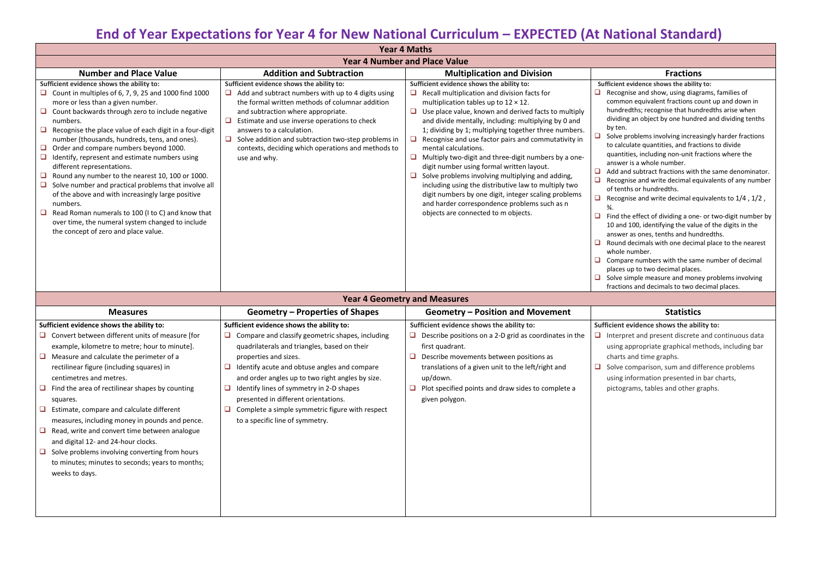# **End of Year Expectations for Year 4 for New National Curriculum – EXPECTED (At National Standard)**

| <b>Year 4 Maths</b>                                                                                                                                                                                                                                                                                                                                                                                                                                                                                                                                                                                                                                                                                                                                                        |                                                                                                                                                                                                                                                                                                                                                                                                    |                                                                                                                                                                                                                                                                                                                                                                                                                                                                                                                                                                                                                                                                                                                                                                                                 |                                                                                                                                                                                                                                                                                                                                                                                                                                                                                                                                                                                                                                                                                                                                                                                                                                  |  |  |
|----------------------------------------------------------------------------------------------------------------------------------------------------------------------------------------------------------------------------------------------------------------------------------------------------------------------------------------------------------------------------------------------------------------------------------------------------------------------------------------------------------------------------------------------------------------------------------------------------------------------------------------------------------------------------------------------------------------------------------------------------------------------------|----------------------------------------------------------------------------------------------------------------------------------------------------------------------------------------------------------------------------------------------------------------------------------------------------------------------------------------------------------------------------------------------------|-------------------------------------------------------------------------------------------------------------------------------------------------------------------------------------------------------------------------------------------------------------------------------------------------------------------------------------------------------------------------------------------------------------------------------------------------------------------------------------------------------------------------------------------------------------------------------------------------------------------------------------------------------------------------------------------------------------------------------------------------------------------------------------------------|----------------------------------------------------------------------------------------------------------------------------------------------------------------------------------------------------------------------------------------------------------------------------------------------------------------------------------------------------------------------------------------------------------------------------------------------------------------------------------------------------------------------------------------------------------------------------------------------------------------------------------------------------------------------------------------------------------------------------------------------------------------------------------------------------------------------------------|--|--|
| <b>Year 4 Number and Place Value</b>                                                                                                                                                                                                                                                                                                                                                                                                                                                                                                                                                                                                                                                                                                                                       |                                                                                                                                                                                                                                                                                                                                                                                                    |                                                                                                                                                                                                                                                                                                                                                                                                                                                                                                                                                                                                                                                                                                                                                                                                 |                                                                                                                                                                                                                                                                                                                                                                                                                                                                                                                                                                                                                                                                                                                                                                                                                                  |  |  |
| <b>Number and Place Value</b>                                                                                                                                                                                                                                                                                                                                                                                                                                                                                                                                                                                                                                                                                                                                              | <b>Addition and Subtraction</b>                                                                                                                                                                                                                                                                                                                                                                    | <b>Multiplication and Division</b>                                                                                                                                                                                                                                                                                                                                                                                                                                                                                                                                                                                                                                                                                                                                                              | <b>Fractions</b>                                                                                                                                                                                                                                                                                                                                                                                                                                                                                                                                                                                                                                                                                                                                                                                                                 |  |  |
| Sufficient evidence shows the ability to:<br>Count in multiples of 6, 7, 9, 25 and 1000 find 1000<br>more or less than a given number.<br>Count backwards through zero to include negative<br>numbers.<br>Recognise the place value of each digit in a four-digit<br>number (thousands, hundreds, tens, and ones).<br>Order and compare numbers beyond 1000.<br>Identify, represent and estimate numbers using<br>different representations.<br>Round any number to the nearest 10, 100 or 1000.<br>Solve number and practical problems that involve all<br>of the above and with increasingly large positive<br>numbers.<br>Read Roman numerals to 100 (I to C) and know that<br>over time, the numeral system changed to include<br>the concept of zero and place value. | Sufficient evidence shows the ability to:<br>Add and subtract numbers with up to 4 digits using<br>the formal written methods of columnar addition<br>and subtraction where appropriate.<br>Estimate and use inverse operations to check<br>answers to a calculation.<br>Solve addition and subtraction two-step problems in<br>contexts, deciding which operations and methods to<br>use and why. | Sufficient evidence shows the ability to:<br>$\Box$<br>Recall multiplication and division facts for<br>multiplication tables up to $12 \times 12$ .<br>Use place value, known and derived facts to multiply<br>$\Box$<br>and divide mentally, including: multiplying by 0 and<br>1; dividing by 1; multiplying together three numbers.<br>Recognise and use factor pairs and commutativity in<br>mental calculations.<br>$\Box$<br>Multiply two-digit and three-digit numbers by a one-<br>digit number using formal written layout.<br>Solve problems involving multiplying and adding,<br>including using the distributive law to multiply two<br>digit numbers by one digit, integer scaling problems<br>and harder correspondence problems such as n<br>objects are connected to m objects. | Sufficient evidence shows the ability<br>Recognise and show, using diagr<br>common equivalent fractions co<br>hundredths; recognise that hund<br>dividing an object by one hundre<br>by ten.<br>Solve problems involving increas<br>to calculate quantities, and fract<br>quantities, including non-unit fra<br>answer is a whole number.<br>Add and subtract fractions with<br>⊔<br>Recognise and write decimal equ<br>of tenths or hundredths.<br>$\Box$<br>Recognise and write decimal equ<br>¾.<br>Find the effect of dividing a one-<br>ப<br>10 and 100, identifying the value<br>answer as ones, tenths and hund<br>Round decimals with one decima<br>whole number.<br>$\Box$ Compare numbers with the sam<br>places up to two decimal places.<br>$\Box$ Solve simple measure and mone<br>fractions and decimals to two de |  |  |
| Voor A Coometry and Measures                                                                                                                                                                                                                                                                                                                                                                                                                                                                                                                                                                                                                                                                                                                                               |                                                                                                                                                                                                                                                                                                                                                                                                    |                                                                                                                                                                                                                                                                                                                                                                                                                                                                                                                                                                                                                                                                                                                                                                                                 |                                                                                                                                                                                                                                                                                                                                                                                                                                                                                                                                                                                                                                                                                                                                                                                                                                  |  |  |

| <b>Tedl 4 Devilletly dilu ivied Sures</b>                                                                                                                                                                                                                                                                                                                                                                                                                                                                                                                                                                        |                                                                                                                                                                                                                                                                                                                                                                                                         |                                                                                                                                                                                                                                                                |                                                                                                                                                                                                       |  |  |
|------------------------------------------------------------------------------------------------------------------------------------------------------------------------------------------------------------------------------------------------------------------------------------------------------------------------------------------------------------------------------------------------------------------------------------------------------------------------------------------------------------------------------------------------------------------------------------------------------------------|---------------------------------------------------------------------------------------------------------------------------------------------------------------------------------------------------------------------------------------------------------------------------------------------------------------------------------------------------------------------------------------------------------|----------------------------------------------------------------------------------------------------------------------------------------------------------------------------------------------------------------------------------------------------------------|-------------------------------------------------------------------------------------------------------------------------------------------------------------------------------------------------------|--|--|
| <b>Measures</b>                                                                                                                                                                                                                                                                                                                                                                                                                                                                                                                                                                                                  | <b>Geometry – Properties of Shapes</b>                                                                                                                                                                                                                                                                                                                                                                  | <b>Geometry - Position and Movement</b>                                                                                                                                                                                                                        | <b>Statistics</b>                                                                                                                                                                                     |  |  |
| Sufficient evidence shows the ability to:                                                                                                                                                                                                                                                                                                                                                                                                                                                                                                                                                                        | Sufficient evidence shows the ability to:                                                                                                                                                                                                                                                                                                                                                               | Sufficient evidence shows the ability to:                                                                                                                                                                                                                      | Sufficient evidence shows the abil                                                                                                                                                                    |  |  |
| $\Box$ Convert between different units of measure [for<br>example, kilometre to metre; hour to minute].<br>Measure and calculate the perimeter of a<br>rectilinear figure (including squares) in<br>centimetres and metres.<br>$\Box$ Find the area of rectilinear shapes by counting<br>squares.<br>Estimate, compare and calculate different<br>measures, including money in pounds and pence.<br>Read, write and convert time between analogue<br>and digital 12- and 24-hour clocks.<br>Solve problems involving converting from hours<br>to minutes; minutes to seconds; years to months;<br>weeks to days. | Compare and classify geometric shapes, including<br>quadrilaterals and triangles, based on their<br>properties and sizes.<br>Identify acute and obtuse angles and compare<br>and order angles up to two right angles by size.<br>Identify lines of symmetry in 2-D shapes<br>presented in different orientations.<br>Complete a simple symmetric figure with respect<br>to a specific line of symmetry. | Describe positions on a 2-D grid as coordinates in the<br>first quadrant.<br>Describe movements between positions as<br>translations of a given unit to the left/right and<br>up/down.<br>Plot specified points and draw sides to complete a<br>given polygon. | Interpret and present discrete<br>using appropriate graphical me<br>charts and time graphs.<br>Solve comparison, sum and dif<br>u<br>using information presented in<br>pictograms, tables and other g |  |  |
|                                                                                                                                                                                                                                                                                                                                                                                                                                                                                                                                                                                                                  |                                                                                                                                                                                                                                                                                                                                                                                                         |                                                                                                                                                                                                                                                                |                                                                                                                                                                                                       |  |  |

**Revidence shows the ability to:** 

mise and show, using diagrams, families of on equivalent fractions count up and down in redths; recognise that hundredths arise when ng an object by one hundred and dividing tenths

problems involving increasingly harder fractions culate quantities, and fractions to divide

- ities, including non-unit fractions where the er is a whole number.
- nd subtract fractions with the same denominator. mise and write decimal equivalents of any number ths or hundredths.
- gnise and write decimal equivalents to  $1/4$  ,  $1/2$  ,

he effect of dividing a one- or two-digit number by d 100, identifying the value of the digits in the er as ones, tenths and hundredths.

- I decimals with one decimal place to the nearest e number.
- are numbers with the same number of decimal up to two decimal places.
- simple measure and money problems involving ons and decimals to two decimal places.

## **nt evidence shows the ability to:**

- Interpret and present discrete and continuous data ig appropriate graphical methods, including bar rts and time graphs.
- e comparison, sum and difference problems
- g information presented in bar charts,
- ograms, tables and other graphs.